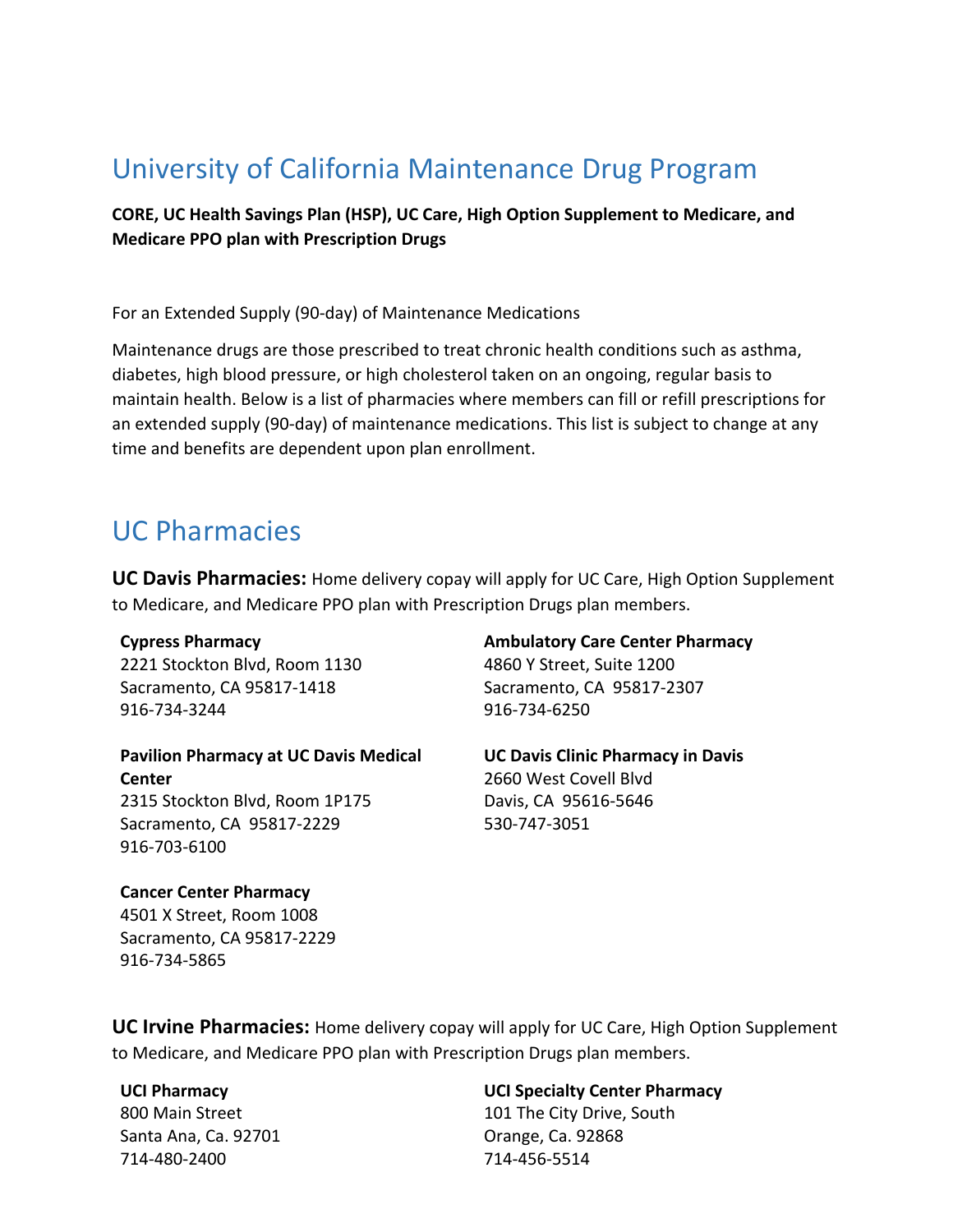### University of California Maintenance Drug Program

**CORE, UC Health Savings Plan (HSP), UC Care, High Option Supplement to Medicare, and Medicare PPO plan with Prescription Drugs**

For an Extended Supply (90-day) of Maintenance Medications

Maintenance drugs are those prescribed to treat chronic health conditions such as asthma, diabetes, high blood pressure, or high cholesterol taken on an ongoing, regular basis to maintain health. Below is a list of pharmacies where members can fill or refill prescriptions for an extended supply (90-day) of maintenance medications. This list is subject to change at any time and benefits are dependent upon plan enrollment.

### UC Pharmacies

**UC Davis Pharmacies:** Home delivery copay will apply for UC Care, High Option Supplement to Medicare, and Medicare PPO plan with Prescription Drugs plan members.

#### **Cypress Pharmacy**

2221 Stockton Blvd, Room 1130 Sacramento, CA 95817-1418 916-734-3244

**Pavilion Pharmacy at UC Davis Medical Center** 2315 Stockton Blvd, Room 1P175

Sacramento, CA 95817-2229 916-703-6100

4860 Y Street, Suite 1200 Sacramento, CA 95817-2307 916-734-6250

**Ambulatory Care Center Pharmacy**

**UC Davis Clinic Pharmacy in Davis** 2660 West Covell Blvd Davis, CA 95616-5646 530-747-3051

**Cancer Center Pharmacy** 4501 X Street, Room 1008 Sacramento, CA 95817-2229 916-734-5865

**UC Irvine Pharmacies:** Home delivery copay will apply for UC Care, High Option Supplement to Medicare, and Medicare PPO plan with Prescription Drugs plan members.

#### **UCI Pharmacy**

800 Main Street Santa Ana, Ca. 92701 714-480-2400

**UCI Specialty Center Pharmacy** 101 The City Drive, South

Orange, Ca. 92868 714-456-5514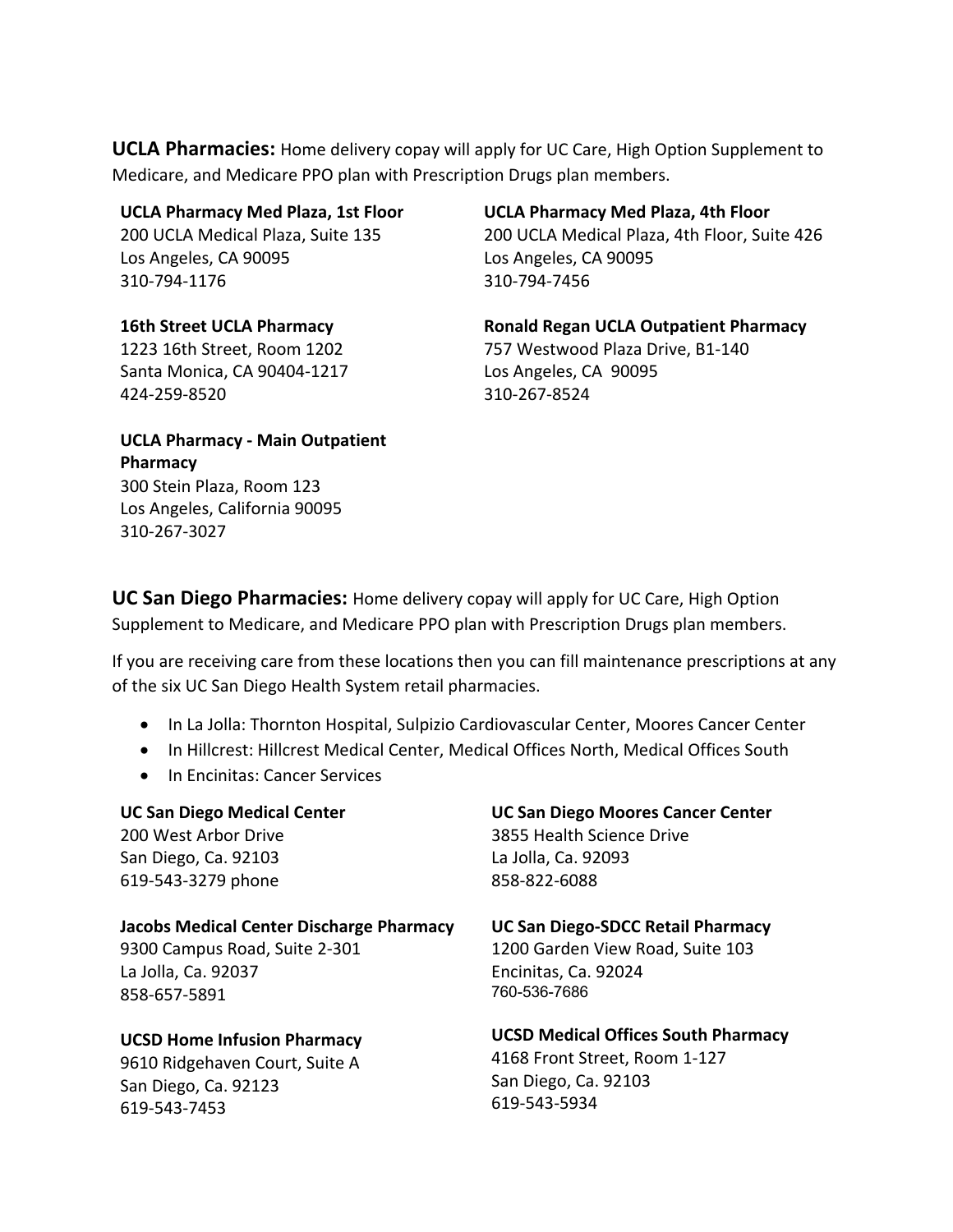**UCLA Pharmacies:** Home delivery copay will apply for UC Care, High Option Supplement to Medicare, and Medicare PPO plan with Prescription Drugs plan members.

#### **UCLA Pharmacy Med Plaza, 1st Floor**

200 UCLA Medical Plaza, Suite 135 Los Angeles, CA 90095 310-794-1176

**16th Street UCLA Pharmacy** 1223 16th Street, Room 1202 Santa Monica, CA 90404-1217 424-259-8520

**UCLA Pharmacy Med Plaza, 4th Floor** 200 UCLA Medical Plaza, 4th Floor, Suite 426 Los Angeles, CA 90095 310-794-7456

**Ronald Regan UCLA Outpatient Pharmacy** 757 Westwood Plaza Drive, B1-140 Los Angeles, CA 90095 310-267-8524

**UCLA Pharmacy - Main Outpatient Pharmacy** 300 Stein Plaza, Room 123 Los Angeles, California 90095 310-267-3027

**UC San Diego Pharmacies:** Home delivery copay will apply for UC Care, High Option Supplement to Medicare, and Medicare PPO plan with Prescription Drugs plan members.

If you are receiving care from these locations then you can fill maintenance prescriptions at any of the six UC San Diego Health System retail pharmacies.

- In La Jolla: Thornton Hospital, Sulpizio Cardiovascular Center, Moores Cancer Center
- In Hillcrest: Hillcrest Medical Center, Medical Offices North, Medical Offices South
- In Encinitas: Cancer Services

**UC San Diego Medical Center**  200 West Arbor Drive San Diego, Ca. 92103 619-543-3279 phone

**Jacobs Medical Center Discharge Pharmacy** 9300 Campus Road, Suite 2-301 La Jolla, Ca. 92037 858-657-5891

**UCSD Home Infusion Pharmacy**  9610 Ridgehaven Court, Suite A San Diego, Ca. 92123 619-543-7453

**UC San Diego Moores Cancer Center** 3855 Health Science Drive

La Jolla, Ca. 92093 858-822-6088

**UC San Diego-SDCC Retail Pharmacy** 1200 Garden View Road, Suite 103 Encinitas, Ca. 92024 760-536-7686

**UCSD Medical Offices South Pharmacy** 4168 Front Street, Room 1-127 San Diego, Ca. 92103 619-543-5934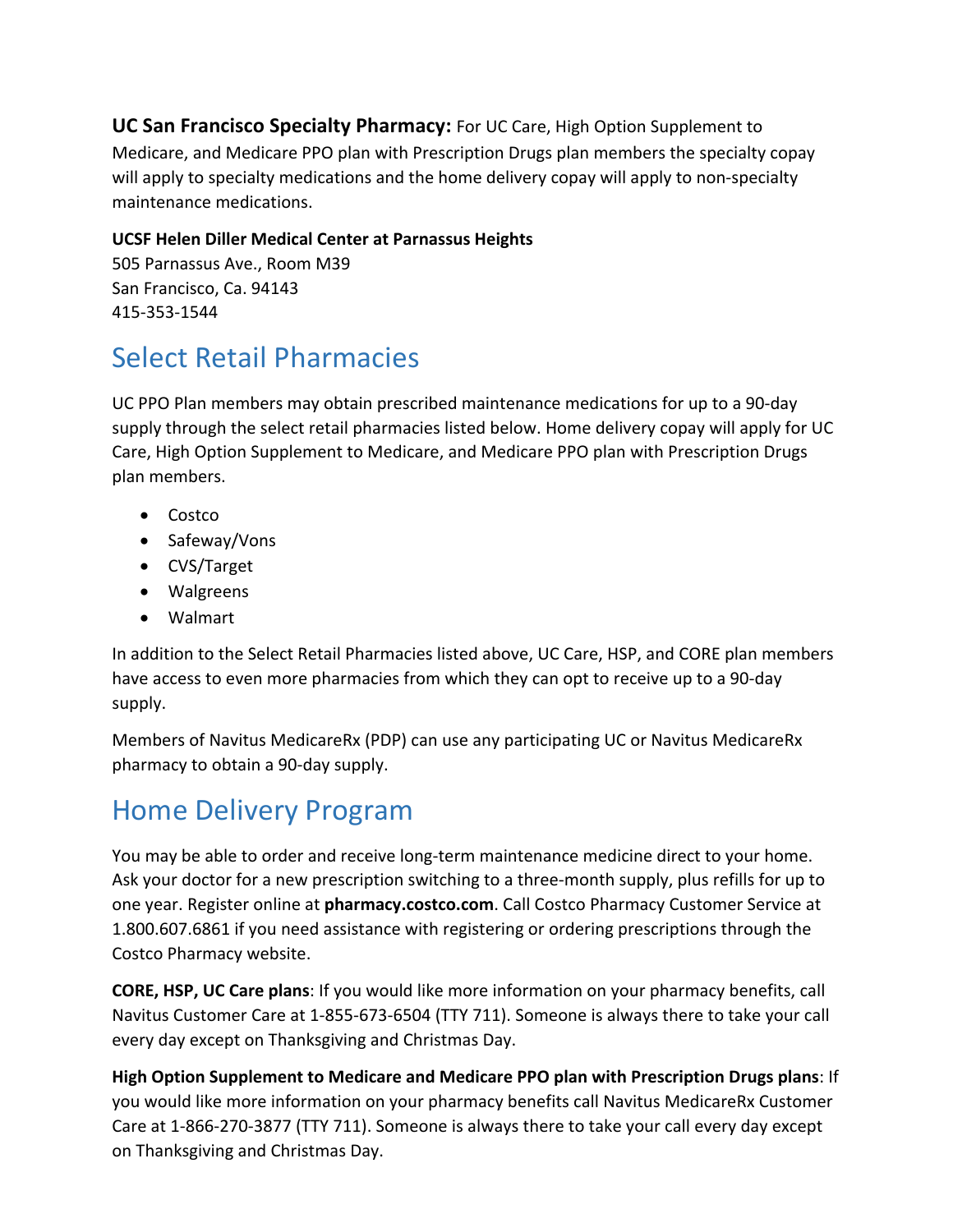**UC San Francisco Specialty Pharmacy:** For UC Care, High Option Supplement to Medicare, and Medicare PPO plan with Prescription Drugs plan members the specialty copay will apply to specialty medications and the home delivery copay will apply to non-specialty maintenance medications.

### **UCSF Helen Diller Medical Center at Parnassus Heights**

505 Parnassus Ave., Room M39 San Francisco, Ca. 94143 415-353-1544

## Select Retail Pharmacies

UC PPO Plan members may obtain prescribed maintenance medications for up to a 90-day supply through the select retail pharmacies listed below. Home delivery copay will apply for UC Care, High Option Supplement to Medicare, and Medicare PPO plan with Prescription Drugs plan members.

- Costco
- Safeway/Vons
- CVS/Target
- Walgreens
- Walmart

In addition to the Select Retail Pharmacies listed above, UC Care, HSP, and CORE plan members have access to even more pharmacies from which they can opt to receive up to a 90-day supply.

Members of Navitus MedicareRx (PDP) can use any participating UC or Navitus MedicareRx pharmacy to obtain a 90-day supply.

# Home Delivery Program

You may be able to order and receive long-term maintenance medicine direct to your home. Ask your doctor for a new prescription switching to a three-month supply, plus refills for up to one year. Register online at **pharmacy.costco.com**. Call Costco Pharmacy Customer Service at 1.800.607.6861 if you need assistance with registering or ordering prescriptions through the Costco Pharmacy website.

**CORE, HSP, UC Care plans**: If you would like more information on your pharmacy benefits, call Navitus Customer Care at 1-855-673-6504 (TTY 711). Someone is always there to take your call every day except on Thanksgiving and Christmas Day.

**High Option Supplement to Medicare and Medicare PPO plan with Prescription Drugs plans**: If you would like more information on your pharmacy benefits call Navitus MedicareRx Customer Care at 1-866-270-3877 (TTY 711). Someone is always there to take your call every day except on Thanksgiving and Christmas Day.